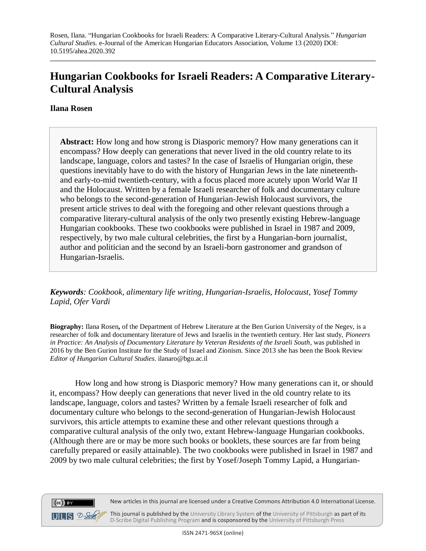## **Hungarian Cookbooks for Israeli Readers: A Comparative Literary-Cultural Analysis**

## **Ilana Rosen**

 $(cc)$  BY

**Abstract:** How long and how strong is Diasporic memory? How many generations can it encompass? How deeply can generations that never lived in the old country relate to its landscape, language, colors and tastes? In the case of Israelis of Hungarian origin, these questions inevitably have to do with the history of Hungarian Jews in the late nineteenthand early-to-mid twentieth-century, with a focus placed more acutely upon World War II and the Holocaust. Written by a female Israeli researcher of folk and documentary culture who belongs to the second-generation of Hungarian-Jewish Holocaust survivors, the present article strives to deal with the foregoing and other relevant questions through a comparative literary-cultural analysis of the only two presently existing Hebrew-language Hungarian cookbooks. These two cookbooks were published in Israel in 1987 and 2009, respectively, by two male cultural celebrities, the first by a Hungarian-born journalist, author and politician and the second by an Israeli-born gastronomer and grandson of Hungarian-Israelis.

*Keywords: Cookbook, alimentary life writing, Hungarian-Israelis, Holocaust, Yosef Tommy Lapid, Ofer Vardi*

**Biography:** Ilana Rosen**,** of the Department of Hebrew Literature at the Ben Gurion University of the Negev, is a researcher of folk and documentary literature of Jews and Israelis in the twentieth century. Her last study, *Pioneers in Practice: An Analysis of Documentary Literature by Veteran Residents of the Israeli South*, was published in 2016 by the Ben Gurion Institute for the Study of Israel and Zionism. Since 2013 she has been the Book Review *Editor of Hungarian Cultural Studies*. [ilanaro@bgu.ac.il](mailto:ilanaro@bgu.ac.il)

 How long and how strong is Diasporic memory? How many generations can it, or should it, encompass? How deeply can generations that never lived in the old country relate to its landscape, language, colors and tastes? Written by a female Israeli researcher of folk and documentary culture who belongs to the second-generation of Hungarian-Jewish Holocaust survivors, this article attempts to examine these and other relevant questions through a comparative cultural analysis of the only two, extant Hebrew-language Hungarian cookbooks. (Although there are or may be more such books or booklets, these sources are far from being carefully prepared or easily attainable). The two cookbooks were published in Israel in 1987 and 2009 by two male cultural celebrities; the first by Yosef/Joseph Tommy Lapid, a Hungarian-



 $UILS$   $2$ -Sonke This journal is published by the University Library System of the University of Pittsburgh as part of its D-Scribe Digital Publishing Program and is cosponsored by the University of Pittsburgh Press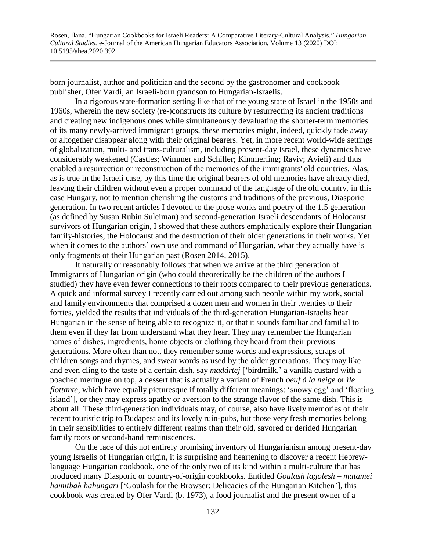born journalist, author and politician and the second by the gastronomer and cookbook publisher, Ofer Vardi, an Israeli-born grandson to Hungarian-Israelis.

In a rigorous state-formation setting like that of the young state of Israel in the 1950s and 1960s, wherein the new society (re-)constructs its culture by resurrecting its ancient traditions and creating new indigenous ones while simultaneously devaluating the shorter-term memories of its many newly-arrived immigrant groups, these memories might, indeed, quickly fade away or altogether disappear along with their original bearers. Yet, in more recent world-wide settings of globalization, multi- and trans-culturalism, including present-day Israel, these dynamics have considerably weakened (Castles; Wimmer and Schiller; Kimmerling; Raviv; Avieli) and thus enabled a resurrection or reconstruction of the memories of the immigrants' old countries. Alas, as is true in the Israeli case, by this time the original bearers of old memories have already died, leaving their children without even a proper command of the language of the old country, in this case Hungary, not to mention cherishing the customs and traditions of the previous, Diasporic generation. In two recent articles I devoted to the prose works and poetry of the 1.5 generation (as defined by Susan Rubin Suleiman) and second-generation Israeli descendants of Holocaust survivors of Hungarian origin, I showed that these authors emphatically explore their Hungarian family-histories, the Holocaust and the destruction of their older generations in their works. Yet when it comes to the authors' own use and command of Hungarian, what they actually have is only fragments of their Hungarian past (Rosen 2014, 2015).

It naturally or reasonably follows that when we arrive at the third generation of Immigrants of Hungarian origin (who could theoretically be the children of the authors I studied) they have even fewer connections to their roots compared to their previous generations. A quick and informal survey I recently carried out among such people within my work, social and family environments that comprised a dozen men and women in their twenties to their forties, yielded the results that individuals of the third-generation Hungarian-Israelis hear Hungarian in the sense of being able to recognize it, or that it sounds familiar and familial to them even if they far from understand what they hear. They may remember the Hungarian names of dishes, ingredients, home objects or clothing they heard from their previous generations. More often than not, they remember some words and expressions, scraps of children songs and rhymes, and swear words as used by the older generations. They may like and even cling to the taste of a certain dish, say *madártej* ['birdmilk,' a vanilla custard with a poached meringue on top, a dessert that is actually a variant of French *oeuf à la neige* or *île flottante*, which have equally picturesque if totally different meanings: 'snowy egg' and 'floating island'], or they may express apathy or aversion to the strange flavor of the same dish. This is about all. These third-generation individuals may, of course, also have lively memories of their recent touristic trip to Budapest and its lovely ruin-pubs, but those very fresh memories belong in their sensibilities to entirely different realms than their old, savored or derided Hungarian family roots or second-hand reminiscences.

On the face of this not entirely promising inventory of Hungarianism among present-day young Israelis of Hungarian origin, it is surprising and heartening to discover a recent Hebrewlanguage Hungarian cookbook, one of the only two of its kind within a multi-culture that has produced many Diasporic or country-of-origin cookbooks. Entitled *Goulash lagolesh – matamei hamitbaḥ hahungari* ['Goulash for the Browser: Delicacies of the Hungarian Kitchen'], this cookbook was created by Ofer Vardi (b. 1973), a food journalist and the present owner of a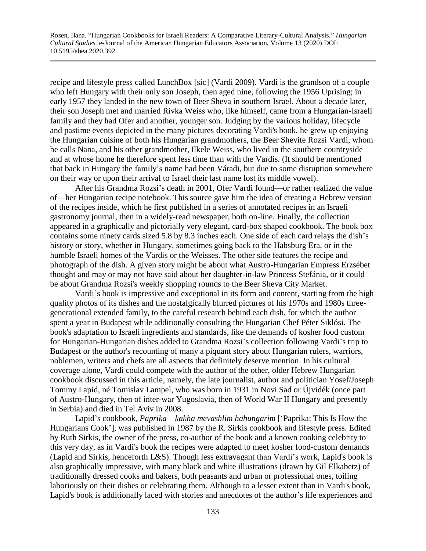recipe and lifestyle press called LunchBox [sic] (Vardi 2009). Vardi is the grandson of a couple who left Hungary with their only son Joseph, then aged nine, following the 1956 Uprising; in early 1957 they landed in the new town of Beer Sheva in southern Israel. About a decade later, their son Joseph met and married Rivka Weiss who, like himself, came from a Hungarian-Israeli family and they had Ofer and another, younger son. Judging by the various holiday, lifecycle and pastime events depicted in the many pictures decorating Vardi's book, he grew up enjoying the Hungarian cuisine of both his Hungarian grandmothers, the Beer Shevite Rozsi Vardi, whom he calls Nana, and his other grandmother, Ilkele Weiss, who lived in the southern countryside and at whose home he therefore spent less time than with the Vardis. (It should be mentioned that back in Hungary the family's name had been Váradi, but due to some disruption somewhere on their way or upon their arrival to Israel their last name lost its middle vowel).

After his Grandma Rozsi's death in 2001, Ofer Vardi found—or rather realized the value of—her Hungarian recipe notebook. This source gave him the idea of creating a Hebrew version of the recipes inside, which he first published in a series of annotated recipes in an Israeli gastronomy journal, then in a widely-read newspaper, both on-line. Finally, the collection appeared in a graphically and pictorially very elegant, card-box shaped cookbook. The book box contains some ninety cards sized 5.8 by 8.3 inches each. One side of each card relays the dish's history or story, whether in Hungary, sometimes going back to the Habsburg Era, or in the humble Israeli homes of the Vardis or the Weisses. The other side features the recipe and photograph of the dish. A given story might be about what Austro-Hungarian Empress Erzsébet thought and may or may not have said about her daughter-in-law Princess Stefánia, or it could be about Grandma Rozsi's weekly shopping rounds to the Beer Sheva City Market.

Vardi's book is impressive and exceptional in its form and content, starting from the high quality photos of its dishes and the nostalgically blurred pictures of his 1970s and 1980s threegenerational extended family, to the careful research behind each dish, for which the author spent a year in Budapest while additionally consulting the Hungarian Chef Péter Siklósi. The book's adaptation to Israeli ingredients and standards, like the demands of kosher food custom for Hungarian-Hungarian dishes added to Grandma Rozsi's collection following Vardi's trip to Budapest or the author's recounting of many a piquant story about Hungarian rulers, warriors, noblemen, writers and chefs are all aspects that definitely deserve mention. In his cultural coverage alone, Vardi could compete with the author of the other, older Hebrew Hungarian cookbook discussed in this article, namely, the late journalist, author and politician Yosef/Joseph Tommy Lapid, né Tomislav Lampel, who was born in 1931 in Novi Sad or Újvidék (once part of Austro-Hungary, then of inter-war Yugoslavia, then of World War II Hungary and presently in Serbia) and died in Tel Aviv in 2008.

Lapid's cookbook, *Paprika – kakha mevashlim hahungarim* ['Paprika: This Is How the Hungarians Cook'], was published in 1987 by the R. Sirkis cookbook and lifestyle press. Edited by Ruth Sirkis, the owner of the press, co-author of the book and a known cooking celebrity to this very day, as in Vardi's book the recipes were adapted to meet kosher food-custom demands (Lapid and Sirkis, henceforth L&S). Though less extravagant than Vardi's work, Lapid's book is also graphically impressive, with many black and white illustrations (drawn by Gil Elkabetz) of traditionally dressed cooks and bakers, both peasants and urban or professional ones, toiling laboriously on their dishes or celebrating them. Although to a lesser extent than in Vardi's book, Lapid's book is additionally laced with stories and anecdotes of the author's life experiences and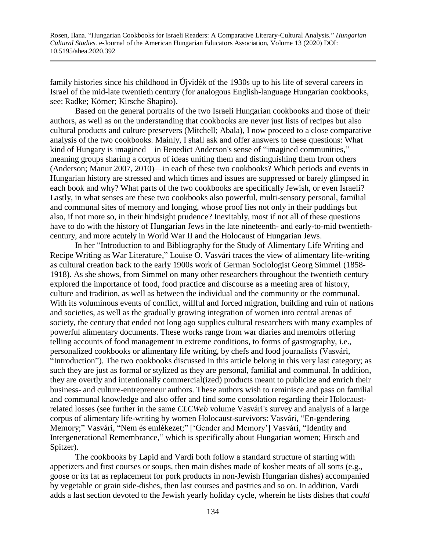family histories since his childhood in Újvidék of the 1930s up to his life of several careers in Israel of the mid-late twentieth century (for analogous English-language Hungarian cookbooks, see: Radke; Körner; Kirsche Shapiro).

Based on the general portraits of the two Israeli Hungarian cookbooks and those of their authors, as well as on the understanding that cookbooks are never just lists of recipes but also cultural products and culture preservers (Mitchell; Abala), I now proceed to a close comparative analysis of the two cookbooks. Mainly, I shall ask and offer answers to these questions: What kind of Hungary is imagined—in Benedict Anderson's sense of "imagined communities," meaning groups sharing a corpus of ideas uniting them and distinguishing them from others (Anderson; Manur 2007, 2010)—in each of these two cookbooks? Which periods and events in Hungarian history are stressed and which times and issues are suppressed or barely glimpsed in each book and why? What parts of the two cookbooks are specifically Jewish, or even Israeli? Lastly, in what senses are these two cookbooks also powerful, multi-sensory personal, familial and communal sites of memory and longing, whose proof lies not only in their puddings but also, if not more so, in their hindsight prudence? Inevitably, most if not all of these questions have to do with the history of Hungarian Jews in the late nineteenth- and early-to-mid twentiethcentury, and more acutely in World War II and the Holocaust of Hungarian Jews.

In her "Introduction to and Bibliography for the Study of Alimentary Life Writing and Recipe Writing as War Literature," Louise O. Vasvári traces the view of alimentary life-writing as cultural creation back to the early 1900s work of German Sociologist Georg Simmel (1858- 1918). As she shows, from Simmel on many other researchers throughout the twentieth century explored the importance of food, food practice and discourse as a meeting area of history, culture and tradition, as well as between the individual and the community or the communal. With its voluminous events of conflict, willful and forced migration, building and ruin of nations and societies, as well as the gradually growing integration of women into central arenas of society, the century that ended not long ago supplies cultural researchers with many examples of powerful alimentary documents. These works range from war diaries and memoirs offering telling accounts of food management in extreme conditions, to forms of gastrography, i.e., personalized cookbooks or alimentary life writing, by chefs and food journalists (Vasvári, "Introduction"). The two cookbooks discussed in this article belong in this very last category; as such they are just as formal or stylized as they are personal, familial and communal. In addition, they are overtly and intentionally commercial(ized) products meant to publicize and enrich their business- and culture-entrepreneur authors. These authors wish to reminisce and pass on familial and communal knowledge and also offer and find some consolation regarding their Holocaustrelated losses (see further in the same *CLCWeb* volume Vasvári's survey and analysis of a large corpus of alimentary life-writing by women Holocaust-survivors: Vasvári, "En-gendering Memory;" Vasvári, "Nem és emlékezet;" ['Gender and Memory'] Vasvári, "Identity and Intergenerational Remembrance," which is specifically about Hungarian women; Hirsch and Spitzer).

The cookbooks by Lapid and Vardi both follow a standard structure of starting with appetizers and first courses or soups, then main dishes made of kosher meats of all sorts (e.g., goose or its fat as replacement for pork products in non-Jewish Hungarian dishes) accompanied by vegetable or grain side-dishes, then last courses and pastries and so on. In addition, Vardi adds a last section devoted to the Jewish yearly holiday cycle, wherein he lists dishes that *could*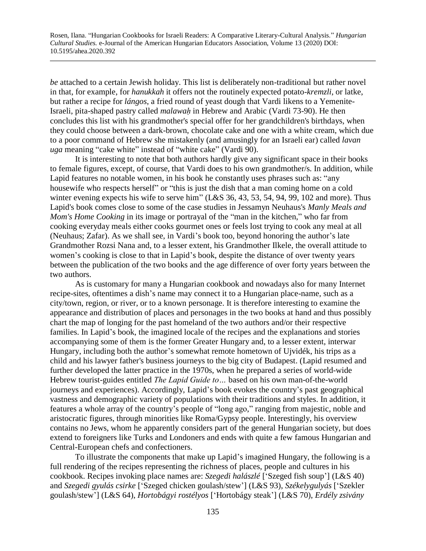*be* attached to a certain Jewish holiday. This list is deliberately non-traditional but rather novel in that, for example, for *hanukkah* it offers not the routinely expected potato-*kremzli*, or latke, but rather a recipe for *lángos*, a fried round of yeast dough that Vardi likens to a Yemenite-Israeli, pita-shaped pastry called *malawaḥ* in Hebrew and Arabic (Vardi 73-90). He then concludes this list with his grandmother's special offer for her grandchildren's birthdays, when they could choose between a dark-brown, chocolate cake and one with a white cream, which due to a poor command of Hebrew she mistakenly (and amusingly for an Israeli ear) called *lavan uga* meaning "cake white" instead of "white cake" (Vardi 90).

It is interesting to note that both authors hardly give any significant space in their books to female figures, except, of course, that Vardi does to his own grandmother/s. In addition, while Lapid features no notable women, in his book he constantly uses phrases such as: "any housewife who respects herself" or "this is just the dish that a man coming home on a cold winter evening expects his wife to serve him" (L&S 36, 43, 53, 54, 94, 99, 102 and more). Thus Lapid's book comes close to some of the case studies in Jessamyn Neuhaus's *Manly Meals and Mom's Home Cooking* in its image or portrayal of the "man in the kitchen," who far from cooking everyday meals either cooks gourmet ones or feels lost trying to cook any meal at all (Neuhaus; Zafar). As we shall see, in Vardi's book too, beyond honoring the author's late Grandmother Rozsi Nana and, to a lesser extent, his Grandmother Ilkele, the overall attitude to women's cooking is close to that in Lapid's book, despite the distance of over twenty years between the publication of the two books and the age difference of over forty years between the two authors.

As is customary for many a Hungarian cookbook and nowadays also for many Internet recipe-sites, oftentimes a dish's name may connect it to a Hungarian place-name, such as a city/town, region, or river, or to a known personage. It is therefore interesting to examine the appearance and distribution of places and personages in the two books at hand and thus possibly chart the map of longing for the past homeland of the two authors and/or their respective families. In Lapid's book, the imagined locale of the recipes and the explanations and stories accompanying some of them is the former Greater Hungary and, to a lesser extent, interwar Hungary, including both the author's somewhat remote hometown of Ujvidék, his trips as a child and his lawyer father's business journeys to the big city of Budapest. (Lapid resumed and further developed the latter practice in the 1970s, when he prepared a series of world-wide Hebrew tourist-guides entitled *The Lapid Guide to…* based on his own man-of-the-world journeys and experiences). Accordingly, Lapid's book evokes the country's past geographical vastness and demographic variety of populations with their traditions and styles. In addition, it features a whole array of the country's people of "long ago," ranging from majestic, noble and aristocratic figures, through minorities like Roma/Gypsy people. Interestingly, his overview contains no Jews, whom he apparently considers part of the general Hungarian society, but does extend to foreigners like Turks and Londoners and ends with quite a few famous Hungarian and Central-European chefs and confectioners.

To illustrate the components that make up Lapid's imagined Hungary, the following is a full rendering of the recipes representing the richness of places, people and cultures in his cookbook. Recipes invoking place names are: *Szegedi halászlé* ['Szeged fish soup'] (L&S 40) and *Szegedi gyulás csirke* ['Szeged chicken goulash/stew'] (L&S 93), *Székelygulyás* ['Szekler goulash/stew'] (L&S 64), *Hortobágyi rostélyos* ['Hortobágy steak'] (L&S 70), *Erdély zsivány*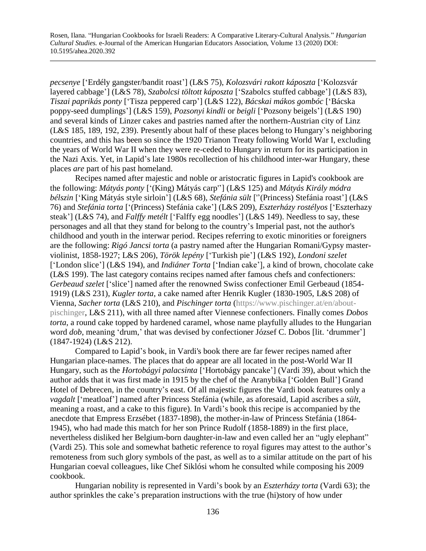*pecsenye* ['Erdély gangster/bandit roast'] (L&S 75), *Kolozsvári rakott káposzta* ['Kolozsvár layered cabbage'] (L&S 78), *Szabolcsi töltott káposzta* ['Szabolcs stuffed cabbage'] (L&S 83), *Tiszai paprikás ponty* ['Tisza peppered carp'] (L&S 122), *Bácskai mákos gombóc* ['Bácska poppy-seed dumplings'] (L&S 159), *Pozsonyi kindli* or *beigli* ['Pozsony beigels'] (L&S 190) and several kinds of Linzer cakes and pastries named after the northern-Austrian city of Linz (L&S 185, 189, 192, 239). Presently about half of these places belong to Hungary's neighboring countries, and this has been so since the 1920 Trianon Treaty following World War I, excluding the years of World War II when they were re-ceded to Hungary in return for its participation in the Nazi Axis. Yet, in Lapid's late 1980s recollection of his childhood inter-war Hungary, these places *are* part of his past homeland.

Recipes named after majestic and noble or aristocratic figures in Lapid's cookbook are the following: *Mátyás ponty* ['(King) Mátyás carp''] (L&S 125) and *Mátyás Király módra bélszin* ['King Mátyás style sirloin'] (L&S 68), *Stefánia sült* [''(Princess) Stefánia roast'] (L&S 76) and *Stefánia torta* ['(Princess) Stefánia cake'] (L&S 209), *Eszterházy rostélyos* ['Eszterhazy steak'] (L&S 74), and *Falffy metélt* ['Falffy egg noodles'] (L&S 149). Needless to say, these personages and all that they stand for belong to the country's Imperial past, not the author's childhood and youth in the interwar period. Recipes referring to exotic minorities or foreigners are the following: *Rigó Jancsi torta* (a pastry named after the Hungarian Romani/Gypsy masterviolinist, 1858-1927; L&S 206), *Török lepény* ['Turkish pie'] (L&S 192), *Londoni szelet* ['London slice'] (L&S 194), and *Indiáner Torta* ['Indian cake'], a kind of brown, chocolate cake (L&S 199). The last category contains recipes named after famous chefs and confectioners: *Gerbeaud szelet* ['slice'] named after the renowned Swiss confectioner Emil Gerbeaud (1854- 1919) (L&S 231), *Kugler torta*, a cake named after Henrik Kugler (1830-1905, L&S 208) of Vienna, *Sacher torta* (L&S 210), and *Pischinger torta* [\(https://www.pischinger.at/en/about](https://www.pischinger.at/en/about-pischinger)[pischinger,](https://www.pischinger.at/en/about-pischinger) L&S 211), with all three named after Viennese confectioners. Finally comes *Dobos torta*, a round cake topped by hardened caramel, whose name playfully alludes to the Hungarian word *dob*, meaning 'drum,' that was devised by confectioner József C. Dobos [lit. 'drummer'] (1847-1924) (L&S 212).

Compared to Lapid's book, in Vardi's book there are far fewer recipes named after Hungarian place-names. The places that do appear are all located in the post-World War II Hungary, such as the *Hortobágyi palacsinta* ['Hortobágy pancake'] (Vardi 39), about which the author adds that it was first made in 1915 by the chef of the Aranybika ['Golden Bull'] Grand Hotel of Debrecen, in the country's east. Of all majestic figures the Vardi book features only a *vagdalt* ['meatloaf'] named after Princess Stefánia (while, as aforesaid, Lapid ascribes a *sült*, meaning a roast, and a cake to this figure). In Vardi's book this recipe is accompanied by the anecdote that Empress Erzsébet (1837-1898), the mother-in-law of Princess Stefánia (1864- 1945), who had made this match for her son Prince Rudolf (1858-1889) in the first place, nevertheless disliked her Belgium-born daughter-in-law and even called her an "ugly elephant" (Vardi 25). This sole and somewhat bathetic reference to royal figures may attest to the author's remoteness from such glory symbols of the past, as well as to a similar attitude on the part of his Hungarian coeval colleagues, like Chef Siklósi whom he consulted while composing his 2009 cookbook.

Hungarian nobility is represented in Vardi's book by an *Eszterházy torta* (Vardi 63); the author sprinkles the cake's preparation instructions with the true (hi)story of how under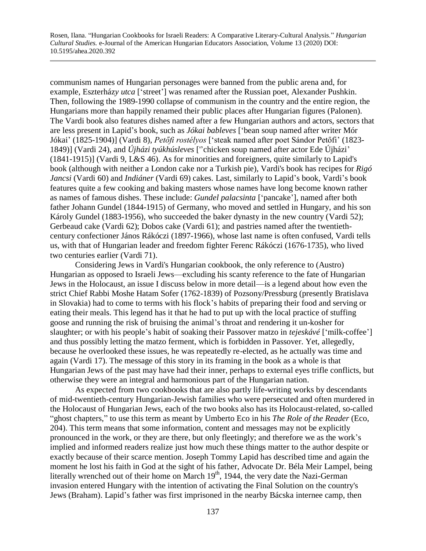communism names of Hungarian personages were banned from the public arena and, for example, Eszterház*y utca* ['street'] was renamed after the Russian poet, Alexander Pushkin. Then, following the 1989-1990 collapse of communism in the country and the entire region, the Hungarians more than happily renamed their public places after Hungarian figures (Palonen). The Vardi book also features dishes named after a few Hungarian authors and actors, sectors that are less present in Lapid's book, such as *Jókai bableves* ['bean soup named after writer Mór Jókai' (1825-1904)] (Vardi 8), *Petőfi rostélyos* ['steak named after poet Sándor Petőfi' (1823- 1849)] (Vardi 24), and *Újházi tyúkhúsleves* [''chicken soup named after actor Ede Újházi' (1841-1915)] (Vardi 9, L&S 46). As for minorities and foreigners, quite similarly to Lapid's book (although with neither a London cake nor a Turkish pie), Vardi's book has recipes for *Rigó Jancsi* (Vardi 60) and *Indiáner* (Vardi 69) cakes. Last, similarly to Lapid's book, Vardi's book features quite a few cooking and baking masters whose names have long become known rather as names of famous dishes. These include: *Gundel palacsinta* ['pancake'], named after both father Johann Gundel (1844-1915) of Germany, who moved and settled in Hungary, and his son Károly Gundel (1883-1956), who succeeded the baker dynasty in the new country (Vardi 52); Gerbeaud cake (Vardi 62); Dobos cake (Vardi 61); and pastries named after the twentiethcentury confectioner János Rákóczi (1897-1966), whose last name is often confused, Vardi tells us, with that of Hungarian leader and freedom fighter Ferenc Rákóczi (1676-1735), who lived two centuries earlier (Vardi 71).

Considering Jews in Vardi's Hungarian cookbook, the only reference to (Austro) Hungarian as opposed to Israeli Jews—excluding his scanty reference to the fate of Hungarian Jews in the Holocaust, an issue I discuss below in more detail—is a legend about how even the strict Chief Rabbi Moshe Hatam Sofer (1762-1839) of Pozsony/Pressburg (presently Bratislava in Slovakia) had to come to terms with his flock's habits of preparing their food and serving or eating their meals. This legend has it that he had to put up with the local practice of stuffing goose and running the risk of bruising the animal's throat and rendering it un-kosher for slaughter; or with his people's habit of soaking their Passover matzo in *tejeskávé* ['milk-coffee'] and thus possibly letting the matzo ferment, which is forbidden in Passover. Yet, allegedly, because he overlooked these issues, he was repeatedly re-elected, as he actually was time and again (Vardi 17). The message of this story in its framing in the book as a whole is that Hungarian Jews of the past may have had their inner, perhaps to external eyes trifle conflicts, but otherwise they were an integral and harmonious part of the Hungarian nation.

As expected from two cookbooks that are also partly life-writing works by descendants of mid-twentieth-century Hungarian-Jewish families who were persecuted and often murdered in the Holocaust of Hungarian Jews, each of the two books also has its Holocaust-related, so-called "ghost chapters," to use this term as meant by Umberto Eco in his *The Role of the Reader* (Eco, 204). This term means that some information, content and messages may not be explicitly pronounced in the work, or they are there, but only fleetingly; and therefore we as the work's implied and informed readers realize just how much these things matter to the author despite or exactly because of their scarce mention. Joseph Tommy Lapid has described time and again the moment he lost his faith in God at the sight of his father, Advocate Dr. Béla Meir Lampel, being literally wrenched out of their home on March  $19<sup>th</sup>$ , 1944, the very date the Nazi-German invasion entered Hungary with the intention of activating the Final Solution on the country's Jews (Braham). Lapid's father was first imprisoned in the nearby Bácska internee camp, then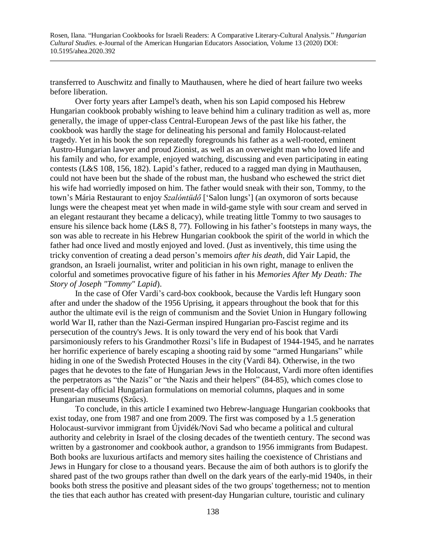transferred to Auschwitz and finally to Mauthausen, where he died of heart failure two weeks before liberation.

Over forty years after Lampel's death, when his son Lapid composed his Hebrew Hungarian cookbook probably wishing to leave behind him a culinary tradition as well as, more generally, the image of upper-class Central-European Jews of the past like his father, the cookbook was hardly the stage for delineating his personal and family Holocaust-related tragedy. Yet in his book the son repeatedly foregrounds his father as a well-rooted, eminent Austro-Hungarian lawyer and proud Zionist, as well as an overweight man who loved life and his family and who, for example, enjoyed watching, discussing and even participating in eating contests (L&S 108, 156, 182). Lapid's father, reduced to a ragged man dying in Mauthausen, could not have been but the shade of the robust man, the husband who eschewed the strict diet his wife had worriedly imposed on him. The father would sneak with their son, Tommy, to the town's Mária Restaurant to enjoy *Szalóntüdő* ['Salon lungs'] (an oxymoron of sorts because lungs were the cheapest meat yet when made in wild-game style with sour cream and served in an elegant restaurant they became a delicacy), while treating little Tommy to two sausages to ensure his silence back home (L&S 8, 77). Following in his father's footsteps in many ways, the son was able to recreate in his Hebrew Hungarian cookbook the spirit of the world in which the father had once lived and mostly enjoyed and loved. (Just as inventively, this time using the tricky convention of creating a dead person's memoirs *after his death*, did Yair Lapid, the grandson, an Israeli journalist, writer and politician in his own right, manage to enliven the colorful and sometimes provocative figure of his father in his *Memories After My Death: The Story of Joseph "Tommy" Lapid*).

In the case of Ofer Vardi's card-box cookbook, because the Vardis left Hungary soon after and under the shadow of the 1956 Uprising, it appears throughout the book that for this author the ultimate evil is the reign of communism and the Soviet Union in Hungary following world War II, rather than the Nazi-German inspired Hungarian pro-Fascist regime and its persecution of the country's Jews. It is only toward the very end of his book that Vardi parsimoniously refers to his Grandmother Rozsi's life in Budapest of 1944-1945, and he narrates her horrific experience of barely escaping a shooting raid by some "armed Hungarians" while hiding in one of the Swedish Protected Houses in the city (Vardi 84). Otherwise, in the two pages that he devotes to the fate of Hungarian Jews in the Holocaust, Vardi more often identifies the perpetrators as "the Nazis" or "the Nazis and their helpers" (84-85), which comes close to present-day official Hungarian formulations on memorial columns, plaques and in some Hungarian museums (Szűcs).

To conclude, in this article I examined two Hebrew-language Hungarian cookbooks that exist today, one from 1987 and one from 2009. The first was composed by a 1.5 generation Holocaust-survivor immigrant from Újvidék/Novi Sad who became a political and cultural authority and celebrity in Israel of the closing decades of the twentieth century. The second was written by a gastronomer and cookbook author, a grandson to 1956 immigrants from Budapest. Both books are luxurious artifacts and memory sites hailing the coexistence of Christians and Jews in Hungary for close to a thousand years. Because the aim of both authors is to glorify the shared past of the two groups rather than dwell on the dark years of the early-mid 1940s, in their books both stress the positive and pleasant sides of the two groups' togetherness; not to mention the ties that each author has created with present-day Hungarian culture, touristic and culinary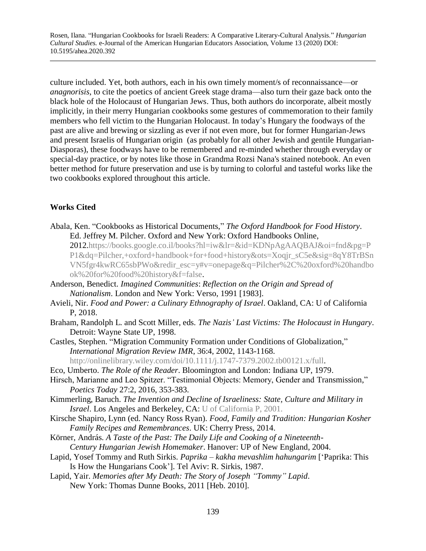culture included. Yet, both authors, each in his own timely moment/s of reconnaissance—or *anagnorisis*, to cite the poetics of ancient Greek stage drama—also turn their gaze back onto the black hole of the Holocaust of Hungarian Jews. Thus, both authors do incorporate, albeit mostly implicitly, in their merry Hungarian cookbooks some gestures of commemoration to their family members who fell victim to the Hungarian Holocaust. In today's Hungary the foodways of the past are alive and brewing or sizzling as ever if not even more, but for former Hungarian-Jews and present Israelis of Hungarian origin (as probably for all other Jewish and gentile Hungarian-Diasporas), these foodways have to be remembered and re-minded whether through everyday or special-day practice, or by notes like those in Grandma Rozsi Nana's stained notebook. An even better method for future preservation and use is by turning to colorful and tasteful works like the two cookbooks explored throughout this article.

## **Works Cited**

Abala, Ken. "Cookbooks as Historical Documents," *The Oxford Handbook for Food History*. Ed. Jeffrey M. Pilcher. Oxford and New York: Oxford Handbooks Online,

2012[.https://books.google.co.il/books?hl=iw&lr=&id=KDNpAgAAQBAJ&oi=fnd&pg=P](https://books.google.co.il/books?hl=iw&lr=&id=KDNpAgAAQBAJ&oi=fnd&pg=PP1&dq=Pilcher,+oxford+handbook+for+food+history&ots=Xoqjr_sC5e&sig=8qY8TrBSnVN5fgr4kwRC65sbPWo&redir_esc=y#v=onepage&q=Pilcher%2C%20oxford%20handbook%20for%20food%20history&f=false) [P1&dq=Pilcher,+oxford+handbook+for+food+history&ots=Xoqjr\\_sC5e&sig=8qY8TrBSn](https://books.google.co.il/books?hl=iw&lr=&id=KDNpAgAAQBAJ&oi=fnd&pg=PP1&dq=Pilcher,+oxford+handbook+for+food+history&ots=Xoqjr_sC5e&sig=8qY8TrBSnVN5fgr4kwRC65sbPWo&redir_esc=y#v=onepage&q=Pilcher%2C%20oxford%20handbook%20for%20food%20history&f=false) [VN5fgr4kwRC65sbPWo&redir\\_esc=y#v=onepage&q=Pilcher%2C%20oxford%20handbo](https://books.google.co.il/books?hl=iw&lr=&id=KDNpAgAAQBAJ&oi=fnd&pg=PP1&dq=Pilcher,+oxford+handbook+for+food+history&ots=Xoqjr_sC5e&sig=8qY8TrBSnVN5fgr4kwRC65sbPWo&redir_esc=y#v=onepage&q=Pilcher%2C%20oxford%20handbook%20for%20food%20history&f=false) [ok%20for%20food%20history&f=false.](https://books.google.co.il/books?hl=iw&lr=&id=KDNpAgAAQBAJ&oi=fnd&pg=PP1&dq=Pilcher,+oxford+handbook+for+food+history&ots=Xoqjr_sC5e&sig=8qY8TrBSnVN5fgr4kwRC65sbPWo&redir_esc=y#v=onepage&q=Pilcher%2C%20oxford%20handbook%20for%20food%20history&f=false)

- Anderson, Benedict. *Imagined Communities*: *Reflection on the Origin and Spread of Nationalism*. London and New York: Verso, 1991 [1983].
- Avieli, Nir. *Food and Power: a Culinary Ethnography of Israel*. Oakland, CA: U of California P, 2018.
- Braham, Randolph L. and Scott Miller, eds. *The Nazis' Last Victims: The Holocaust in Hungary*. Detroit: Wayne State UP, 1998.
- Castles, Stephen. "Migration Community Formation under Conditions of Globalization," *International Migration Review IMR*, 36:4, 2002, 1143-1168. [http://onlinelibrary.wiley.com/doi/10.1111/j.1747-7379.2002.tb00121.x/full.](http://onlinelibrary.wiley.com/doi/10.1111/j.1747-7379.2002.tb00121.x/full)
- Eco, Umberto. *The Role of the Reader*. Bloomington and London: Indiana UP, 1979.
- Hirsch, Marianne and Leo Spitzer. "Testimonial Objects: Memory, Gender and Transmission," *Poetics Today* 27:2, 2016, 353-383.
- Kimmerling, Baruch. *The Invention and Decline of Israeliness: State, Culture and Military in Israel*. Los Angeles and Berkeley, CA: [U of California P, 2001.](https://en.wikipedia.org/wiki/University_of_California_Press)
- Kirsche Shapiro, Lynn (ed. Nancy Ross Ryan). *Food, Family and Tradition: Hungarian Kosher Family Recipes and Remembrances*. UK: Cherry Press, 2014.
- Körner, András. *A Taste of the Past: The Daily Life and Cooking of a Nineteenth-Century Hungarian Jewish Homemaker*. Hanover: UP of New England, 2004.
- Lapid, Yosef Tommy and Ruth Sirkis. *Paprika – kakha mevashlim hahungarim* ['Paprika: This Is How the Hungarians Cook']. Tel Aviv: R. Sirkis, 1987.
- Lapid, Yair. *Memories after My Death: The Story of Joseph "Tommy" Lapid*. New York: Thomas Dunne Books, 2011 [Heb. 2010].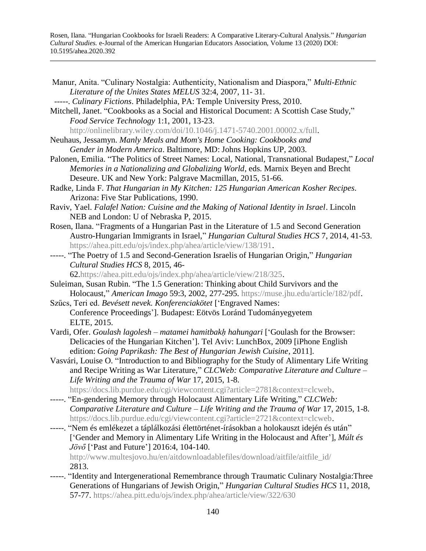- Manur, Anita. "Culinary Nostalgia: Authenticity, Nationalism and Diaspora," *Multi-Ethnic Literature of the Unites States MELUS* 32:4, 2007, 11- 31. -----. *Culinary Fictions*. Philadelphia, PA: Temple University Press, 2010. Mitchell, Janet. "Cookbooks as a Social and Historical Document: A Scottish Case Study," *Food Service Technology* 1:1, 2001, 13-23. [http://onlinelibrary.wiley.com/doi/10.1046/j.1471-5740.2001.00002.x/full.](http://onlinelibrary.wiley.com/doi/10.1046/j.1471-5740.2001.00002.x/full) Neuhaus, Jessamyn. *Manly Meals and Mom's Home Cooking: Cookbooks and Gender in Modern America*. Baltimore, MD: Johns Hopkins UP, 2003. Palonen, Emilia. "The Politics of Street Names: Local, National, Transnational Budapest," *Local Memories in a Nationalizing and Globalizing World*, eds. Marnix Beyen and Brecht Deseure. UK and New York: Palgrave Macmillan, 2015, 51-66. Radke, Linda F. *That Hungarian in My Kitchen: 125 Hungarian American Kosher Recipes*. Arizona: Five Star Publications, 1990. Raviv, Yael. *Falafel Nation: Cuisine and the Making of National Identity in Israel*. Lincoln NEB and London: U of Nebraska P, 2015. Rosen, Ilana. "Fragments of a Hungarian Past in the Literature of 1.5 and Second Generation Austro-Hungarian Immigrants in Israel," *Hungarian Cultural Studies HCS* 7, 2014, 41-53. [https://ahea.pitt.edu/ojs/index.php/ahea/article/view/138/191.](https://ahea.pitt.edu/ojs/index.php/ahea/article/view/138/191) -----. "The Poetry of 1.5 and Second-Generation Israelis of Hungarian Origin," *Hungarian Cultural Studies HCS* 8, 2015, 46- 62[.https://ahea.pitt.edu/ojs/index.php/ahea/article/view/218/325.](https://ahea.pitt.edu/ojs/index.php/ahea/article/view/218/325) Suleiman, Susan Rubin. "The 1.5 Generation: Thinking about Child Survivors and the Holocaust," *American Imago* 59:3, 2002, 277-295. [https://muse.jhu.edu/article/182/pdf.](https://muse.jhu.edu/article/182/pdf) Szűcs, Teri ed. *Bevésett nevek. Konferenciakötet* ['Engraved Names: Conference Proceedings']. Budapest: Eötvös Loránd Tudományegyetem ELTE, 2015. Vardi, Ofer. *Goulash lagolesh – matamei hamitbakḥ hahungari* ['Goulash for the Browser: Delicacies of the Hungarian Kitchen']. Tel Aviv: LunchBox, 2009 [iPhone English edition: *Going Paprikash: The Best of Hungarian Jewish Cuisine*, 2011]. Vasvári, Louise O. "Introduction to and Bibliography for the Study of Alimentary Life Writing and Recipe Writing as War Literature," *CLCWeb: Comparative Literature and Culture – Life Writing and the Trauma of War* 17, 2015, 1-8. [https://docs.lib.purdue.edu/cgi/viewcontent.cgi?article=2781&context=clcweb.](https://docs.lib.purdue.edu/cgi/viewcontent.cgi?article=2781&context=clcweb) -----. "En-gendering Memory through Holocaust Alimentary Life Writing," *CLCWeb: Comparative Literature and Culture – Life Writing and the Trauma of War* 17, 2015, 1-8. [https://docs.lib.purdue.edu/cgi/viewcontent.cgi?article=2721&context=clcweb.](https://docs.lib.purdue.edu/cgi/viewcontent.cgi?article=2721&context=clcweb) -----. "Nem és emlékezet a táplálkozási élettörténet-írásokban a holokauszt idején és után" ['Gender and Memory in Alimentary Life Writing in the Holocaust and After'], *Múlt és Jövő* ['Past and Future'] 2016:4, 104-140. [http://www.multesjovo.hu/en/aitdownloadablefiles/download/aitfile/aitfile\\_id/](http://www.multesjovo.hu/en/aitdownloadablefiles/download/aitfile/aitfile_id/) 2813. -----. "Identity and Intergenerational Remembrance through Traumatic Culinary Nostalgia:Three
- Generations of Hungarians of Jewish Origin," *Hungarian Cultural Studies HCS* 11, 2018, 57-77. <https://ahea.pitt.edu/ojs/index.php/ahea/article/view/322/630>